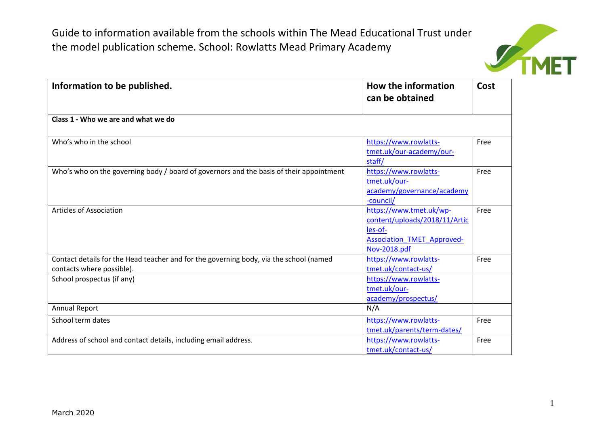

| Information to be published.                                                                                        | <b>How the information</b><br>can be obtained                                                                            | Cost |
|---------------------------------------------------------------------------------------------------------------------|--------------------------------------------------------------------------------------------------------------------------|------|
| Class 1 - Who we are and what we do                                                                                 |                                                                                                                          |      |
| Who's who in the school                                                                                             | https://www.rowlatts-<br>tmet.uk/our-academy/our-<br>staff/                                                              | Free |
| Who's who on the governing body / board of governors and the basis of their appointment                             | https://www.rowlatts-<br>tmet.uk/our-<br>academy/governance/academy<br>-council/                                         | Free |
| <b>Articles of Association</b>                                                                                      | https://www.tmet.uk/wp-<br>content/uploads/2018/11/Artic<br>les-of-<br><b>Association TMET Approved-</b><br>Nov-2018.pdf | Free |
| Contact details for the Head teacher and for the governing body, via the school (named<br>contacts where possible). | https://www.rowlatts-<br>tmet.uk/contact-us/                                                                             | Free |
| School prospectus (if any)                                                                                          | https://www.rowlatts-<br>tmet.uk/our-<br>academy/prospectus/                                                             |      |
| <b>Annual Report</b>                                                                                                | N/A                                                                                                                      |      |
| School term dates                                                                                                   | https://www.rowlatts-<br>tmet.uk/parents/term-dates/                                                                     | Free |
| Address of school and contact details, including email address.                                                     | https://www.rowlatts-<br>tmet.uk/contact-us/                                                                             | Free |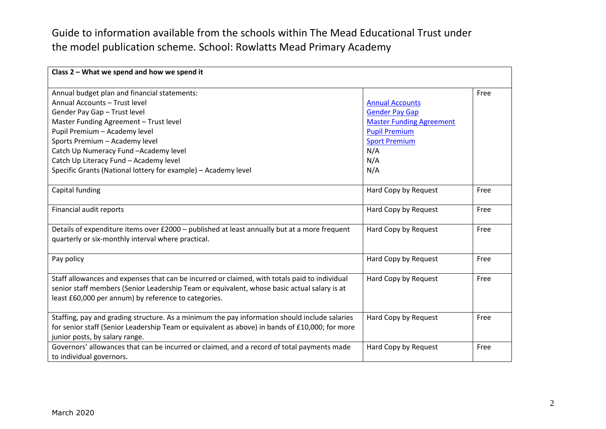| Class 2 - What we spend and how we spend it                                                    |                                 |      |
|------------------------------------------------------------------------------------------------|---------------------------------|------|
| Annual budget plan and financial statements:                                                   |                                 | Free |
| Annual Accounts - Trust level                                                                  | <b>Annual Accounts</b>          |      |
| Gender Pay Gap - Trust level                                                                   | <b>Gender Pay Gap</b>           |      |
| Master Funding Agreement - Trust level                                                         | <b>Master Funding Agreement</b> |      |
| Pupil Premium - Academy level                                                                  | <b>Pupil Premium</b>            |      |
| Sports Premium - Academy level                                                                 | <b>Sport Premium</b>            |      |
| Catch Up Numeracy Fund -Academy level                                                          | N/A                             |      |
|                                                                                                |                                 |      |
| Catch Up Literacy Fund - Academy level                                                         | N/A                             |      |
| Specific Grants (National lottery for example) - Academy level                                 | N/A                             |      |
| Capital funding                                                                                | Hard Copy by Request            | Free |
|                                                                                                |                                 |      |
| Financial audit reports                                                                        | Hard Copy by Request            | Free |
|                                                                                                |                                 |      |
| Details of expenditure items over £2000 - published at least annually but at a more frequent   | Hard Copy by Request            | Free |
| quarterly or six-monthly interval where practical.                                             |                                 |      |
| Pay policy                                                                                     | Hard Copy by Request            | Free |
|                                                                                                |                                 |      |
| Staff allowances and expenses that can be incurred or claimed, with totals paid to individual  | Hard Copy by Request            | Free |
| senior staff members (Senior Leadership Team or equivalent, whose basic actual salary is at    |                                 |      |
| least £60,000 per annum) by reference to categories.                                           |                                 |      |
|                                                                                                |                                 |      |
| Staffing, pay and grading structure. As a minimum the pay information should include salaries  | Hard Copy by Request            | Free |
| for senior staff (Senior Leadership Team or equivalent as above) in bands of £10,000; for more |                                 |      |
| junior posts, by salary range.                                                                 |                                 |      |
| Governors' allowances that can be incurred or claimed, and a record of total payments made     | Hard Copy by Request            | Free |
| to individual governors.                                                                       |                                 |      |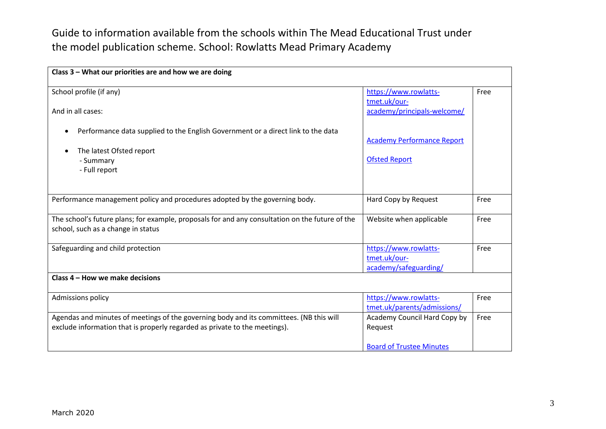| Class 3 - What our priorities are and how we are doing                                                                                                                |                                                                            |      |
|-----------------------------------------------------------------------------------------------------------------------------------------------------------------------|----------------------------------------------------------------------------|------|
| School profile (if any)<br>And in all cases:                                                                                                                          | https://www.rowlatts-<br>tmet.uk/our-<br>academy/principals-welcome/       | Free |
| Performance data supplied to the English Government or a direct link to the data<br>$\bullet$<br>The latest Ofsted report<br>$\bullet$<br>- Summary<br>- Full report  | <b>Academy Performance Report</b><br><b>Ofsted Report</b>                  |      |
| Performance management policy and procedures adopted by the governing body.                                                                                           | Hard Copy by Request                                                       | Free |
| The school's future plans; for example, proposals for and any consultation on the future of the<br>school, such as a change in status                                 | Website when applicable                                                    | Free |
| Safeguarding and child protection                                                                                                                                     | https://www.rowlatts-<br>tmet.uk/our-<br>academy/safeguarding/             | Free |
| Class 4 - How we make decisions                                                                                                                                       |                                                                            |      |
| Admissions policy                                                                                                                                                     | https://www.rowlatts-<br>tmet.uk/parents/admissions/                       | Free |
| Agendas and minutes of meetings of the governing body and its committees. (NB this will<br>exclude information that is properly regarded as private to the meetings). | Academy Council Hard Copy by<br>Request<br><b>Board of Trustee Minutes</b> | Free |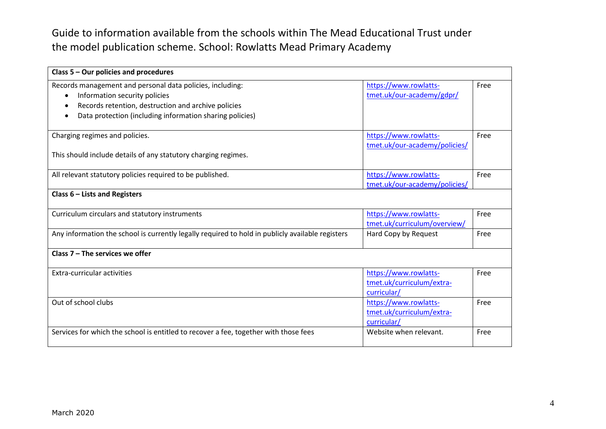| Class $5 -$ Our policies and procedures                                                                                                                                                                                                 |                                                                   |      |
|-----------------------------------------------------------------------------------------------------------------------------------------------------------------------------------------------------------------------------------------|-------------------------------------------------------------------|------|
| Records management and personal data policies, including:<br>Information security policies<br>$\bullet$<br>Records retention, destruction and archive policies<br>$\bullet$<br>Data protection (including information sharing policies) | https://www.rowlatts-<br>tmet.uk/our-academy/gdpr/                | Free |
| Charging regimes and policies.<br>This should include details of any statutory charging regimes.                                                                                                                                        | https://www.rowlatts-<br>tmet.uk/our-academy/policies/            | Free |
| All relevant statutory policies required to be published.                                                                                                                                                                               | https://www.rowlatts-<br>tmet.uk/our-academy/policies/            | Free |
| Class 6 - Lists and Registers                                                                                                                                                                                                           |                                                                   |      |
| Curriculum circulars and statutory instruments                                                                                                                                                                                          | https://www.rowlatts-<br>tmet.uk/curriculum/overview/             | Free |
| Any information the school is currently legally required to hold in publicly available registers                                                                                                                                        | Hard Copy by Request                                              | Free |
| Class $7$ – The services we offer                                                                                                                                                                                                       |                                                                   |      |
| Extra-curricular activities                                                                                                                                                                                                             | https://www.rowlatts-<br>tmet.uk/curriculum/extra-<br>curricular/ | Free |
| Out of school clubs                                                                                                                                                                                                                     | https://www.rowlatts-<br>tmet.uk/curriculum/extra-<br>curricular/ | Free |
| Services for which the school is entitled to recover a fee, together with those fees                                                                                                                                                    | Website when relevant.                                            | Free |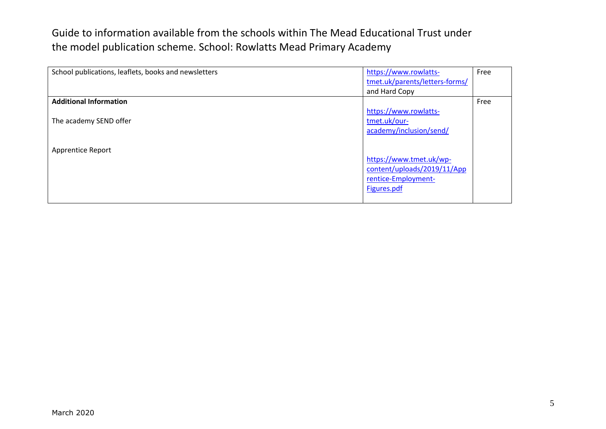| School publications, leaflets, books and newsletters | https://www.rowlatts-<br>tmet.uk/parents/letters-forms/ | Free |
|------------------------------------------------------|---------------------------------------------------------|------|
|                                                      | and Hard Copy                                           |      |
| <b>Additional Information</b>                        |                                                         | Free |
|                                                      | https://www.rowlatts-                                   |      |
| The academy SEND offer                               | tmet.uk/our-                                            |      |
|                                                      | academy/inclusion/send/                                 |      |
| <b>Apprentice Report</b>                             | https://www.tmet.uk/wp-<br>content/uploads/2019/11/App  |      |
|                                                      | rentice-Employment-<br>Figures.pdf                      |      |